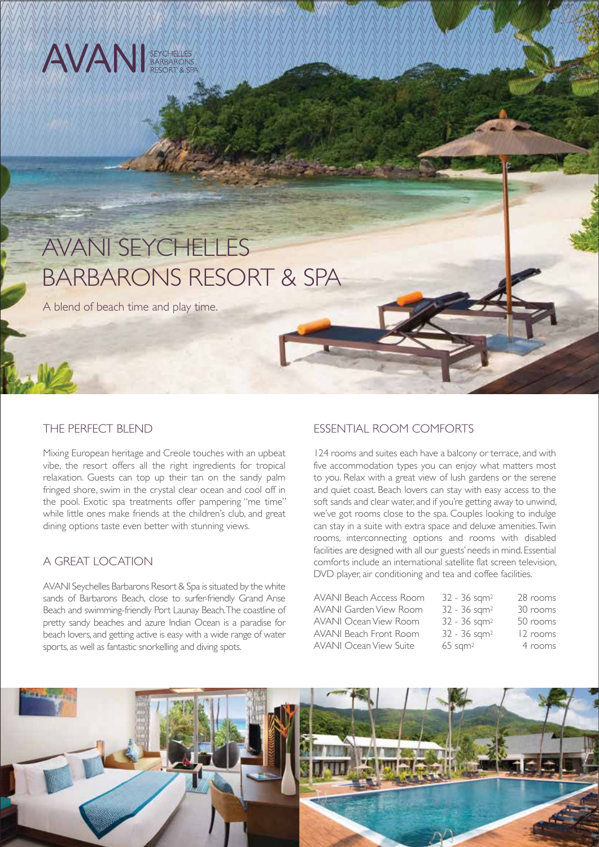# AVAN SEYCHELLES

# AVANI SEYCHELLES BARBARONS RESORT & SPA

A blend of beach time and play time.

#### THE PERFECT BLEND

Mixing European heritage and Creole touches with an upbeat vibe, the resort offers all the right ingredients for tropical relaxation. Guests can top up their tan on the sandy palm fringed shore, swim in the crystal clear ocean and cool off in the pool. Exotic spa treatments offer pampering "me time" while little ones make friends at the children's club, and great dining options taste even better with stunning views.

# A GREAT LOCATION

AVANI Seychelles Barbarons Resort & Spa is situated by the white sands of Barbarons Beach, close to surfer-friendly Grand Anse Beach and swimming-friendly Port Launay Beach. The coastline of pretty sandy beaches and azure Indian Ocean is a paradise for beach lovers, and getting active is easy with a wide range of water sports, as well as fantastic snorkelling and diving spots.

# ESSENTIAL ROOM COMFORTS

124 rooms and suites each have a balcony or terrace, and with five accommodation types you can enjoy what matters most to you. Relax with a great view of lush gardens or the serene and quiet coast. Beach lovers can stay with easy access to the soft sands and clear water, and if you're getting away to unwind, we've got rooms close to the spa. Couples looking to indulge can stay in a suite with extra space and deluxe amenities. Twin rooms, interconnecting options and rooms with disabled facilities are designed with all our guests' needs in mind. Essential comforts include an international satellite flat screen television, DVD player, air conditioning and tea and coffee facilities.

| AVANI Beach Access Room       | $32 - 36$ sqm <sup>2</sup> | 28 rooms |
|-------------------------------|----------------------------|----------|
| AVANI Garden View Room        | 32 - 36 sqm <sup>2</sup>   | 30 rooms |
| <b>AVANI Ocean View Room</b>  | 32 - 36 sqm <sup>2</sup>   | 50 rooms |
| AVANI Beach Front Room        | 32 - 36 sqm <sup>2</sup>   | 12 rooms |
| <b>AVANI Ocean View Suite</b> | $65$ sqm <sup>2</sup>      | 4 rooms  |
|                               |                            |          |